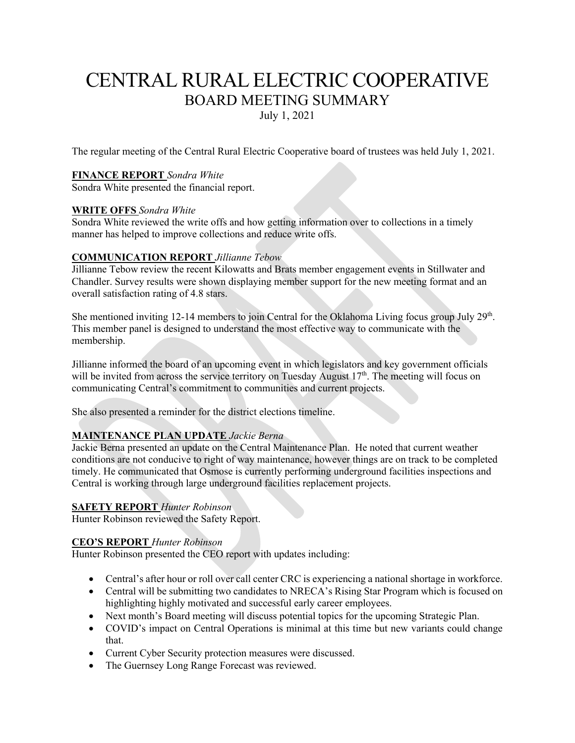# CENTRAL RURAL ELECTRIC COOPERATIVE BOARD MEETING SUMMARY

July 1, 2021

The regular meeting of the Central Rural Electric Cooperative board of trustees was held July 1, 2021.

# **FINANCE REPORT** *Sondra White*

Sondra White presented the financial report.

# **WRITE OFFS** *Sondra White*

Sondra White reviewed the write offs and how getting information over to collections in a timely manner has helped to improve collections and reduce write offs.

# **COMMUNICATION REPORT** *Jillianne Tebow*

Jillianne Tebow review the recent Kilowatts and Brats member engagement events in Stillwater and Chandler. Survey results were shown displaying member support for the new meeting format and an overall satisfaction rating of 4.8 stars.

She mentioned inviting 12-14 members to join Central for the Oklahoma Living focus group July  $29<sup>th</sup>$ . This member panel is designed to understand the most effective way to communicate with the membership.

Jillianne informed the board of an upcoming event in which legislators and key government officials will be invited from across the service territory on Tuesday August 17<sup>th</sup>. The meeting will focus on communicating Central's commitment to communities and current projects.

She also presented a reminder for the district elections timeline.

# **MAINTENANCE PLAN UPDATE** *Jackie Berna*

Jackie Berna presented an update on the Central Maintenance Plan. He noted that current weather conditions are not conducive to right of way maintenance, however things are on track to be completed timely. He communicated that Osmose is currently performing underground facilities inspections and Central is working through large underground facilities replacement projects.

### **SAFETY REPORT** *Hunter Robinson*

Hunter Robinson reviewed the Safety Report.

### **CEO'S REPORT** *Hunter Robinson*

Hunter Robinson presented the CEO report with updates including:

- Central's after hour or roll over call center CRC is experiencing a national shortage in workforce.
- Central will be submitting two candidates to NRECA's Rising Star Program which is focused on highlighting highly motivated and successful early career employees.
- Next month's Board meeting will discuss potential topics for the upcoming Strategic Plan.
- COVID's impact on Central Operations is minimal at this time but new variants could change that.
- Current Cyber Security protection measures were discussed.
- The Guernsey Long Range Forecast was reviewed.